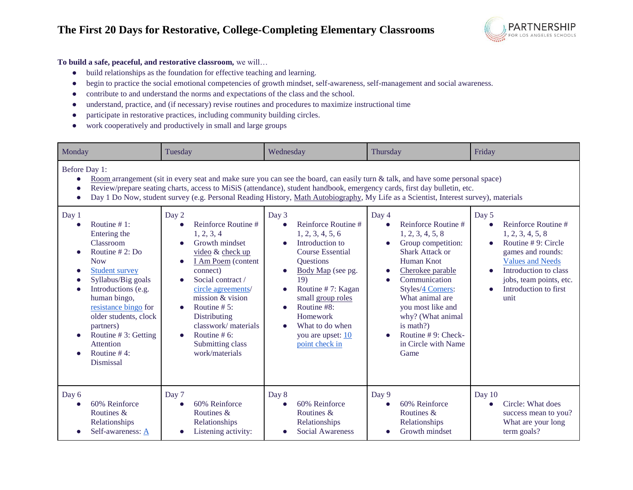## **The First 20 Days for Restorative, College-Completing Elementary Classrooms**



## **To build a safe, peaceful, and restorative classroom,** we will…

- build relationships as the foundation for effective teaching and learning.
- begin to practice the social emotional competencies of growth mindset, self-awareness, self-management and social awareness.
- contribute to and understand the norms and expectations of the class and the school.
- understand, practice, and (if necessary) revise routines and procedures to maximize instructional time
- participate in restorative practices, including community building circles.
- work cooperatively and productively in small and large groups

| Monday                                                                                                                                                                                                                                                                                                                                   | Tuesday                                                                                                                                                                                                                                                                                                                                                                                                                                                                                                                                                                                                                                                                                                                          | Wednesday                                                                                                                                                                                                                                                                                                                 | Thursday                                                                                                                                                                                                                                                                                                                      | Friday                                                                                                                                                                                                     |
|------------------------------------------------------------------------------------------------------------------------------------------------------------------------------------------------------------------------------------------------------------------------------------------------------------------------------------------|----------------------------------------------------------------------------------------------------------------------------------------------------------------------------------------------------------------------------------------------------------------------------------------------------------------------------------------------------------------------------------------------------------------------------------------------------------------------------------------------------------------------------------------------------------------------------------------------------------------------------------------------------------------------------------------------------------------------------------|---------------------------------------------------------------------------------------------------------------------------------------------------------------------------------------------------------------------------------------------------------------------------------------------------------------------------|-------------------------------------------------------------------------------------------------------------------------------------------------------------------------------------------------------------------------------------------------------------------------------------------------------------------------------|------------------------------------------------------------------------------------------------------------------------------------------------------------------------------------------------------------|
| Before Day 1:<br>Day 1<br>Routine $# 1$ :<br>Entering the<br>Classroom<br>Routine $# 2$ : Do<br><b>Now</b><br><b>Student survey</b><br>Syllabus/Big goals<br>Introductions (e.g.<br>human bingo,<br>resistance bingo for<br>older students, clock<br>partners)<br>Routine #3: Getting<br><b>Attention</b><br>Routine $#4$ :<br>Dismissal | Room arrangement (sit in every seat and make sure you can see the board, can easily turn & talk, and have some personal space)<br>Review/prepare seating charts, access to MiSiS (attendance), student handbook, emergency cards, first day bulletin, etc.<br>Day 1 Do Now, student survey (e.g. Personal Reading History, Math Autobiography, My Life as a Scientist, Interest survey), materials<br>Day 2<br>Reinforce Routine#<br>1, 2, 3, 4<br>Growth mindset<br>video & check up<br>I Am Poem (content<br>connect)<br>Social contract /<br>circle agreements/<br>mission & vision<br>Routine $# 5$ :<br>$\bullet$<br>Distributing<br>classwork/materials<br>Routine # 6:<br>$\bullet$<br>Submitting class<br>work/materials | Day 3<br>Reinforce Routine#<br>1, 2, 3, 4, 5, 6<br>Introduction to<br>$\bullet$<br><b>Course Essential</b><br>Questions<br>Body Map (see pg.<br>$\bullet$<br>19)<br>Routine #7: Kagan<br>$\bullet$<br>small group roles<br>Routine #8:<br>$\bullet$<br>Homework<br>What to do when<br>you are upset: 10<br>point check in | Day 4<br>Reinforce Routine#<br>$\bullet$<br>1, 2, 3, 4, 5, 8<br>Group competition:<br>Shark Attack or<br>Human Knot<br>Cherokee parable<br>Communication<br>$\bullet$<br>Styles/4 Corners:<br>What animal are<br>you most like and<br>why? (What animal<br>is math?)<br>Routine $# 9$ : Check-<br>in Circle with Name<br>Game | Day 5<br>Reinforce Routine#<br>1, 2, 3, 4, 5, 8<br>Routine #9: Circle<br>games and rounds:<br><b>Values and Needs</b><br>Introduction to class<br>jobs, team points, etc.<br>Introduction to first<br>unit |
| Day 6<br>60% Reinforce<br>Routines &<br>Relationships<br>Self-awareness: A                                                                                                                                                                                                                                                               | Day 7<br>60% Reinforce<br>Routines &<br>Relationships<br>Listening activity:                                                                                                                                                                                                                                                                                                                                                                                                                                                                                                                                                                                                                                                     | Day 8<br>60% Reinforce<br>$\bullet$<br>Routines &<br>Relationships<br><b>Social Awareness</b><br>$\bullet$                                                                                                                                                                                                                | Day 9<br>60% Reinforce<br>Routines &<br>Relationships<br>Growth mindset                                                                                                                                                                                                                                                       | Day $10$<br>Circle: What does<br>$\bullet$<br>success mean to you?<br>What are your long<br>term goals?                                                                                                    |